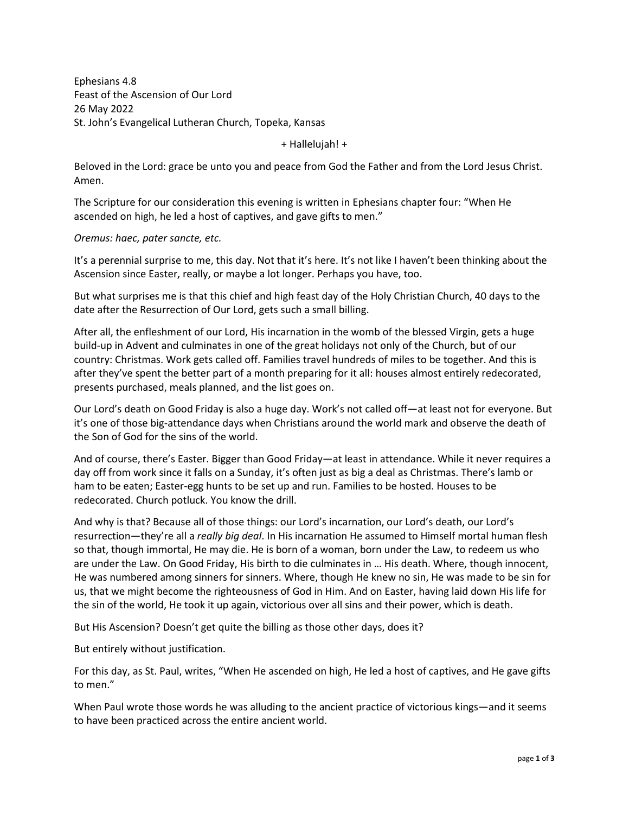Ephesians 4.8 Feast of the Ascension of Our Lord 26 May 2022 St. John's Evangelical Lutheran Church, Topeka, Kansas

+ Hallelujah! +

Beloved in the Lord: grace be unto you and peace from God the Father and from the Lord Jesus Christ. Amen.

The Scripture for our consideration this evening is written in Ephesians chapter four: "When He ascended on high, he led a host of captives, and gave gifts to men."

*Oremus: haec, pater sancte, etc.*

It's a perennial surprise to me, this day. Not that it's here. It's not like I haven't been thinking about the Ascension since Easter, really, or maybe a lot longer. Perhaps you have, too.

But what surprises me is that this chief and high feast day of the Holy Christian Church, 40 days to the date after the Resurrection of Our Lord, gets such a small billing.

After all, the enfleshment of our Lord, His incarnation in the womb of the blessed Virgin, gets a huge build-up in Advent and culminates in one of the great holidays not only of the Church, but of our country: Christmas. Work gets called off. Families travel hundreds of miles to be together. And this is after they've spent the better part of a month preparing for it all: houses almost entirely redecorated, presents purchased, meals planned, and the list goes on.

Our Lord's death on Good Friday is also a huge day. Work's not called off—at least not for everyone. But it's one of those big-attendance days when Christians around the world mark and observe the death of the Son of God for the sins of the world.

And of course, there's Easter. Bigger than Good Friday—at least in attendance. While it never requires a day off from work since it falls on a Sunday, it's often just as big a deal as Christmas. There's lamb or ham to be eaten; Easter-egg hunts to be set up and run. Families to be hosted. Houses to be redecorated. Church potluck. You know the drill.

And why is that? Because all of those things: our Lord's incarnation, our Lord's death, our Lord's resurrection—they're all a *really big deal*. In His incarnation He assumed to Himself mortal human flesh so that, though immortal, He may die. He is born of a woman, born under the Law, to redeem us who are under the Law. On Good Friday, His birth to die culminates in … His death. Where, though innocent, He was numbered among sinners for sinners. Where, though He knew no sin, He was made to be sin for us, that we might become the righteousness of God in Him. And on Easter, having laid down His life for the sin of the world, He took it up again, victorious over all sins and their power, which is death.

But His Ascension? Doesn't get quite the billing as those other days, does it?

But entirely without justification.

For this day, as St. Paul, writes, "When He ascended on high, He led a host of captives, and He gave gifts to men."

When Paul wrote those words he was alluding to the ancient practice of victorious kings—and it seems to have been practiced across the entire ancient world.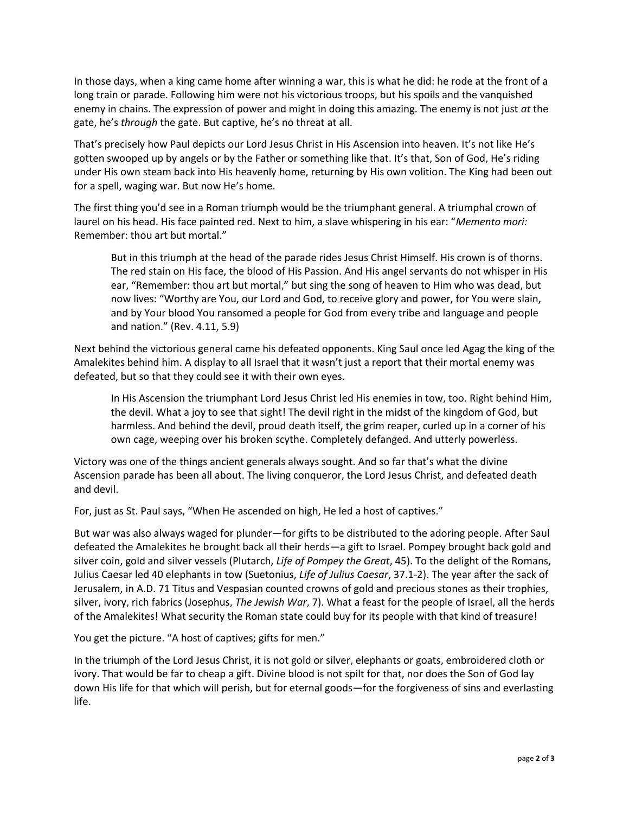In those days, when a king came home after winning a war, this is what he did: he rode at the front of a long train or parade. Following him were not his victorious troops, but his spoils and the vanquished enemy in chains. The expression of power and might in doing this amazing. The enemy is not just *at* the gate, he's *through* the gate. But captive, he's no threat at all.

That's precisely how Paul depicts our Lord Jesus Christ in His Ascension into heaven. It's not like He's gotten swooped up by angels or by the Father or something like that. It's that, Son of God, He's riding under His own steam back into His heavenly home, returning by His own volition. The King had been out for a spell, waging war. But now He's home.

The first thing you'd see in a Roman triumph would be the triumphant general. A triumphal crown of laurel on his head. His face painted red. Next to him, a slave whispering in his ear: "*Memento mori:*  Remember: thou art but mortal."

But in this triumph at the head of the parade rides Jesus Christ Himself. His crown is of thorns. The red stain on His face, the blood of His Passion. And His angel servants do not whisper in His ear, "Remember: thou art but mortal," but sing the song of heaven to Him who was dead, but now lives: "Worthy are You, our Lord and God, to receive glory and power, for You were slain, and by Your blood You ransomed a people for God from every tribe and language and people and nation." (Rev. 4.11, 5.9)

Next behind the victorious general came his defeated opponents. King Saul once led Agag the king of the Amalekites behind him. A display to all Israel that it wasn't just a report that their mortal enemy was defeated, but so that they could see it with their own eyes.

In His Ascension the triumphant Lord Jesus Christ led His enemies in tow, too. Right behind Him, the devil. What a joy to see that sight! The devil right in the midst of the kingdom of God, but harmless. And behind the devil, proud death itself, the grim reaper, curled up in a corner of his own cage, weeping over his broken scythe. Completely defanged. And utterly powerless.

Victory was one of the things ancient generals always sought. And so far that's what the divine Ascension parade has been all about. The living conqueror, the Lord Jesus Christ, and defeated death and devil.

For, just as St. Paul says, "When He ascended on high, He led a host of captives."

But war was also always waged for plunder—for gifts to be distributed to the adoring people. After Saul defeated the Amalekites he brought back all their herds—a gift to Israel. Pompey brought back gold and silver coin, gold and silver vessels (Plutarch, *Life of Pompey the Great*, 45). To the delight of the Romans, Julius Caesar led 40 elephants in tow (Suetonius, *Life of Julius Caesar*, 37.1-2). The year after the sack of Jerusalem, in A.D. 71 Titus and Vespasian counted crowns of gold and precious stones as their trophies, silver, ivory, rich fabrics (Josephus, *The Jewish War*, 7). What a feast for the people of Israel, all the herds of the Amalekites! What security the Roman state could buy for its people with that kind of treasure!

You get the picture. "A host of captives; gifts for men."

In the triumph of the Lord Jesus Christ, it is not gold or silver, elephants or goats, embroidered cloth or ivory. That would be far to cheap a gift. Divine blood is not spilt for that, nor does the Son of God lay down His life for that which will perish, but for eternal goods—for the forgiveness of sins and everlasting life.